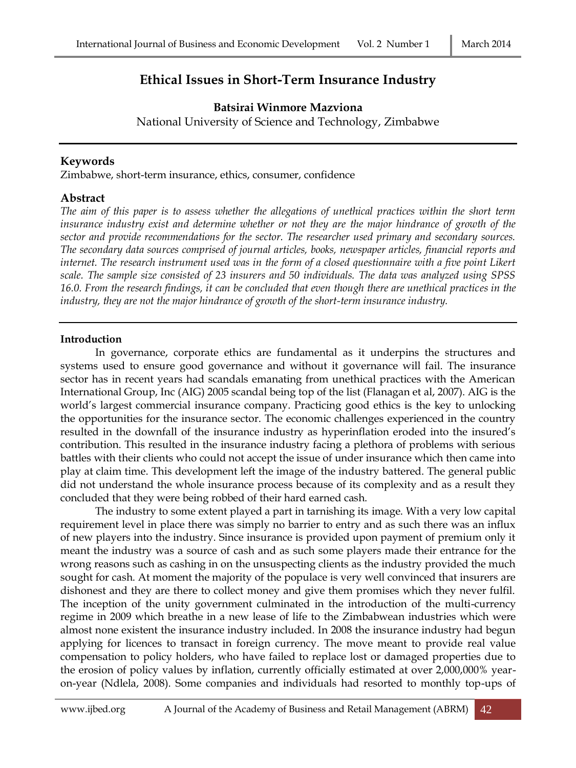# **Ethical Issues in Short-Term Insurance Industry**

## **Batsirai Winmore Mazviona**

National University of Science and Technology, Zimbabwe

#### **Keywords**

Zimbabwe, short-term insurance, ethics, consumer, confidence

### **Abstract**

*The aim of this paper is to assess whether the allegations of unethical practices within the short term insurance industry exist and determine whether or not they are the major hindrance of growth of the sector and provide recommendations for the sector. The researcher used primary and secondary sources. The secondary data sources comprised of journal articles, books, newspaper articles, financial reports and internet. The research instrument used was in the form of a closed questionnaire with a five point Likert scale. The sample size consisted of 23 insurers and 50 individuals. The data was analyzed using SPSS 16.0. From the research findings, it can be concluded that even though there are unethical practices in the industry, they are not the major hindrance of growth of the short-term insurance industry.* 

#### **Introduction**

In governance, corporate ethics are fundamental as it underpins the structures and systems used to ensure good governance and without it governance will fail. The insurance sector has in recent years had scandals emanating from unethical practices with the American International Group, Inc (AIG) 2005 scandal being top of the list (Flanagan et al, 2007). AIG is the world's largest commercial insurance company. Practicing good ethics is the key to unlocking the opportunities for the insurance sector. The economic challenges experienced in the country resulted in the downfall of the insurance industry as hyperinflation eroded into the insured's contribution. This resulted in the insurance industry facing a plethora of problems with serious battles with their clients who could not accept the issue of under insurance which then came into play at claim time. This development left the image of the industry battered. The general public did not understand the whole insurance process because of its complexity and as a result they concluded that they were being robbed of their hard earned cash.

The industry to some extent played a part in tarnishing its image. With a very low capital requirement level in place there was simply no barrier to entry and as such there was an influx of new players into the industry. Since insurance is provided upon payment of premium only it meant the industry was a source of cash and as such some players made their entrance for the wrong reasons such as cashing in on the unsuspecting clients as the industry provided the much sought for cash. At moment the majority of the populace is very well convinced that insurers are dishonest and they are there to collect money and give them promises which they never fulfil. The inception of the unity government culminated in the introduction of the multi-currency regime in 2009 which breathe in a new lease of life to the Zimbabwean industries which were almost none existent the insurance industry included. In 2008 the insurance industry had begun applying for licences to transact in foreign currency. The move meant to provide real value compensation to policy holders, who have failed to replace lost or damaged properties due to the erosion of policy values by inflation, currently officially estimated at over 2,000,000% yearon-year (Ndlela, 2008). Some companies and individuals had resorted to monthly top-ups of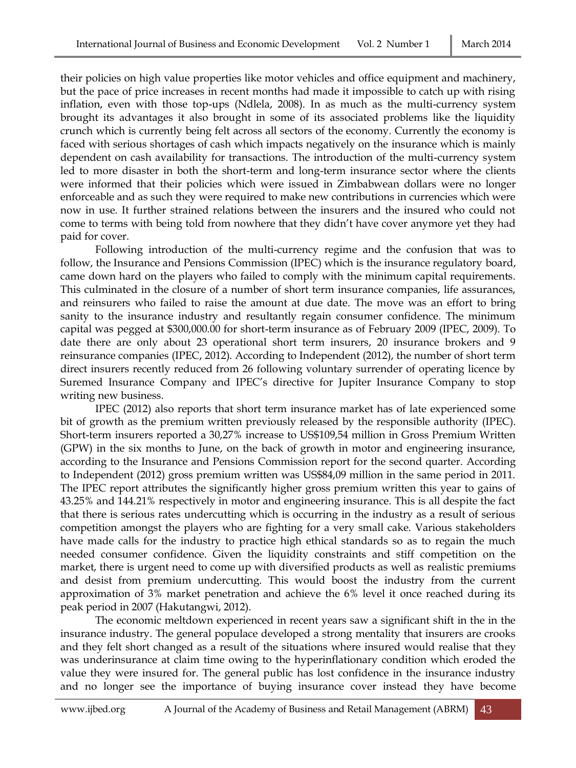their policies on high value properties like motor vehicles and office equipment and machinery, but the pace of price increases in recent months had made it impossible to catch up with rising inflation, even with those top-ups (Ndlela, 2008). In as much as the multi-currency system brought its advantages it also brought in some of its associated problems like the liquidity crunch which is currently being felt across all sectors of the economy. Currently the economy is faced with serious shortages of cash which impacts negatively on the insurance which is mainly dependent on cash availability for transactions. The introduction of the multi-currency system led to more disaster in both the short-term and long-term insurance sector where the clients were informed that their policies which were issued in Zimbabwean dollars were no longer enforceable and as such they were required to make new contributions in currencies which were now in use. It further strained relations between the insurers and the insured who could not come to terms with being told from nowhere that they didn't have cover anymore yet they had paid for cover.

Following introduction of the multi-currency regime and the confusion that was to follow, the Insurance and Pensions Commission (IPEC) which is the insurance regulatory board, came down hard on the players who failed to comply with the minimum capital requirements. This culminated in the closure of a number of short term insurance companies, life assurances, and reinsurers who failed to raise the amount at due date. The move was an effort to bring sanity to the insurance industry and resultantly regain consumer confidence. The minimum capital was pegged at \$300,000.00 for short-term insurance as of February 2009 (IPEC, 2009). To date there are only about 23 operational short term insurers, 20 insurance brokers and 9 reinsurance companies (IPEC, 2012). According to Independent (2012), the number of short term direct insurers recently reduced from 26 following voluntary surrender of operating licence by Suremed Insurance Company and IPEC's directive for Jupiter Insurance Company to stop writing new business.

IPEC (2012) also reports that short term insurance market has of late experienced some bit of growth as the premium written previously released by the responsible authority (IPEC). Short-term insurers reported a 30,27% increase to US\$109,54 million in Gross Premium Written (GPW) in the six months to June, on the back of growth in motor and engineering insurance, according to the Insurance and Pensions Commission report for the second quarter. According to Independent (2012) gross premium written was US\$84,09 million in the same period in 2011. The IPEC report attributes the significantly higher gross premium written this year to gains of 43.25% and 144.21% respectively in motor and engineering insurance. This is all despite the fact that there is serious rates undercutting which is occurring in the industry as a result of serious competition amongst the players who are fighting for a very small cake. Various stakeholders have made calls for the industry to practice high ethical standards so as to regain the much needed consumer confidence. Given the liquidity constraints and stiff competition on the market, there is urgent need to come up with diversified products as well as realistic premiums and desist from premium undercutting. This would boost the industry from the current approximation of 3% market penetration and achieve the 6% level it once reached during its peak period in 2007 (Hakutangwi, 2012).

The economic meltdown experienced in recent years saw a significant shift in the in the insurance industry. The general populace developed a strong mentality that insurers are crooks and they felt short changed as a result of the situations where insured would realise that they was underinsurance at claim time owing to the hyperinflationary condition which eroded the value they were insured for. The general public has lost confidence in the insurance industry and no longer see the importance of buying insurance cover instead they have become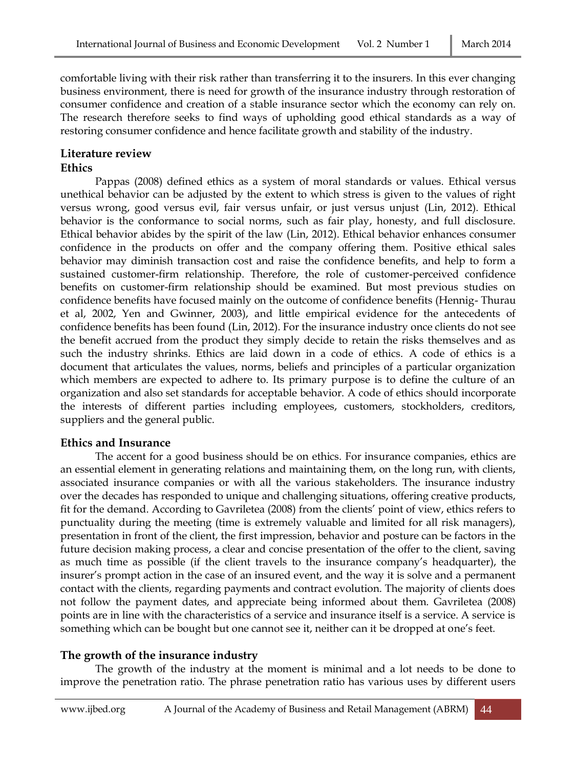comfortable living with their risk rather than transferring it to the insurers. In this ever changing business environment, there is need for growth of the insurance industry through restoration of consumer confidence and creation of a stable insurance sector which the economy can rely on. The research therefore seeks to find ways of upholding good ethical standards as a way of restoring consumer confidence and hence facilitate growth and stability of the industry.

# **Literature review**

#### **Ethics**

Pappas (2008) defined ethics as a system of moral standards or values. Ethical versus unethical behavior can be adjusted by the extent to which stress is given to the values of right versus wrong, good versus evil, fair versus unfair, or just versus unjust (Lin, 2012). Ethical behavior is the conformance to social norms, such as fair play, honesty, and full disclosure. Ethical behavior abides by the spirit of the law (Lin, 2012). Ethical behavior enhances consumer confidence in the products on offer and the company offering them. Positive ethical sales behavior may diminish transaction cost and raise the confidence benefits, and help to form a sustained customer-firm relationship. Therefore, the role of customer-perceived confidence benefits on customer-firm relationship should be examined. But most previous studies on confidence benefits have focused mainly on the outcome of confidence benefits (Hennig- Thurau et al, 2002, Yen and Gwinner, 2003), and little empirical evidence for the antecedents of confidence benefits has been found (Lin, 2012). For the insurance industry once clients do not see the benefit accrued from the product they simply decide to retain the risks themselves and as such the industry shrinks. Ethics are laid down in a code of ethics. A code of ethics is a document that articulates the values, norms, beliefs and principles of a particular organization which members are expected to adhere to. Its primary purpose is to define the culture of an organization and also set standards for acceptable behavior. A code of ethics should incorporate the interests of different parties including employees, customers, stockholders, creditors, suppliers and the general public.

#### **Ethics and Insurance**

The accent for a good business should be on ethics. For insurance companies, ethics are an essential element in generating relations and maintaining them, on the long run, with clients, associated insurance companies or with all the various stakeholders. The insurance industry over the decades has responded to unique and challenging situations, offering creative products, fit for the demand. According to Gavriletea (2008) from the clients' point of view, ethics refers to punctuality during the meeting (time is extremely valuable and limited for all risk managers), presentation in front of the client, the first impression, behavior and posture can be factors in the future decision making process, a clear and concise presentation of the offer to the client, saving as much time as possible (if the client travels to the insurance company's headquarter), the insurer's prompt action in the case of an insured event, and the way it is solve and a permanent contact with the clients, regarding payments and contract evolution. The majority of clients does not follow the payment dates, and appreciate being informed about them. Gavriletea (2008) points are in line with the characteristics of a service and insurance itself is a service. A service is something which can be bought but one cannot see it, neither can it be dropped at one's feet.

#### **The growth of the insurance industry**

The growth of the industry at the moment is minimal and a lot needs to be done to improve the penetration ratio. The phrase penetration ratio has various uses by different users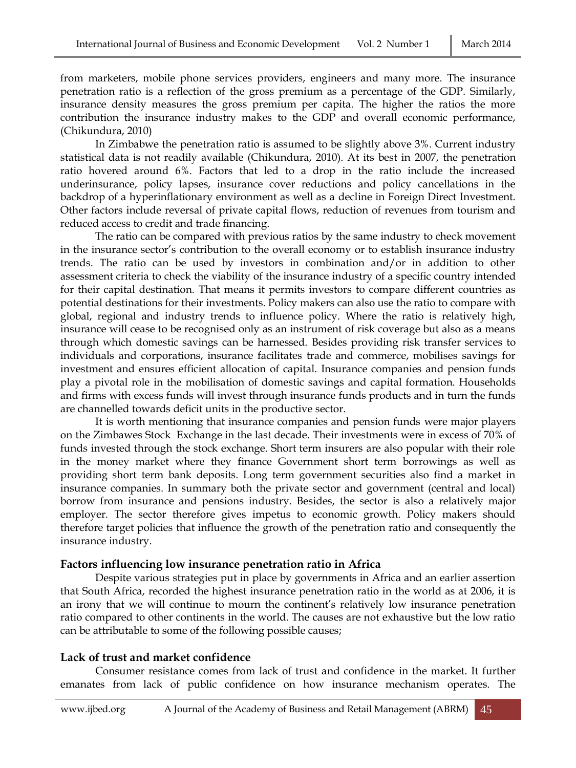from marketers, mobile phone services providers, engineers and many more. The insurance penetration ratio is a reflection of the gross premium as a percentage of the GDP. Similarly, insurance density measures the gross premium per capita. The higher the ratios the more contribution the insurance industry makes to the GDP and overall economic performance, (Chikundura, 2010)

In Zimbabwe the penetration ratio is assumed to be slightly above 3%. Current industry statistical data is not readily available (Chikundura, 2010). At its best in 2007, the penetration ratio hovered around 6%. Factors that led to a drop in the ratio include the increased underinsurance, policy lapses, insurance cover reductions and policy cancellations in the backdrop of a hyperinflationary environment as well as a decline in Foreign Direct Investment. Other factors include reversal of private capital flows, reduction of revenues from tourism and reduced access to credit and trade financing.

The ratio can be compared with previous ratios by the same industry to check movement in the insurance sector's contribution to the overall economy or to establish insurance industry trends. The ratio can be used by investors in combination and/or in addition to other assessment criteria to check the viability of the insurance industry of a specific country intended for their capital destination. That means it permits investors to compare different countries as potential destinations for their investments. Policy makers can also use the ratio to compare with global, regional and industry trends to influence policy. Where the ratio is relatively high, insurance will cease to be recognised only as an instrument of risk coverage but also as a means through which domestic savings can be harnessed. Besides providing risk transfer services to individuals and corporations, insurance facilitates trade and commerce, mobilises savings for investment and ensures efficient allocation of capital. Insurance companies and pension funds play a pivotal role in the mobilisation of domestic savings and capital formation. Households and firms with excess funds will invest through insurance funds products and in turn the funds are channelled towards deficit units in the productive sector.

It is worth mentioning that insurance companies and pension funds were major players on the Zimbawes Stock Exchange in the last decade. Their investments were in excess of 70% of funds invested through the stock exchange. Short term insurers are also popular with their role in the money market where they finance Government short term borrowings as well as providing short term bank deposits. Long term government securities also find a market in insurance companies. In summary both the private sector and government (central and local) borrow from insurance and pensions industry. Besides, the sector is also a relatively major employer. The sector therefore gives impetus to economic growth. Policy makers should therefore target policies that influence the growth of the penetration ratio and consequently the insurance industry.

#### **Factors influencing low insurance penetration ratio in Africa**

Despite various strategies put in place by governments in Africa and an earlier assertion that South Africa, recorded the highest insurance penetration ratio in the world as at 2006, it is an irony that we will continue to mourn the continent's relatively low insurance penetration ratio compared to other continents in the world. The causes are not exhaustive but the low ratio can be attributable to some of the following possible causes;

#### **Lack of trust and market confidence**

Consumer resistance comes from lack of trust and confidence in the market. It further emanates from lack of public confidence on how insurance mechanism operates. The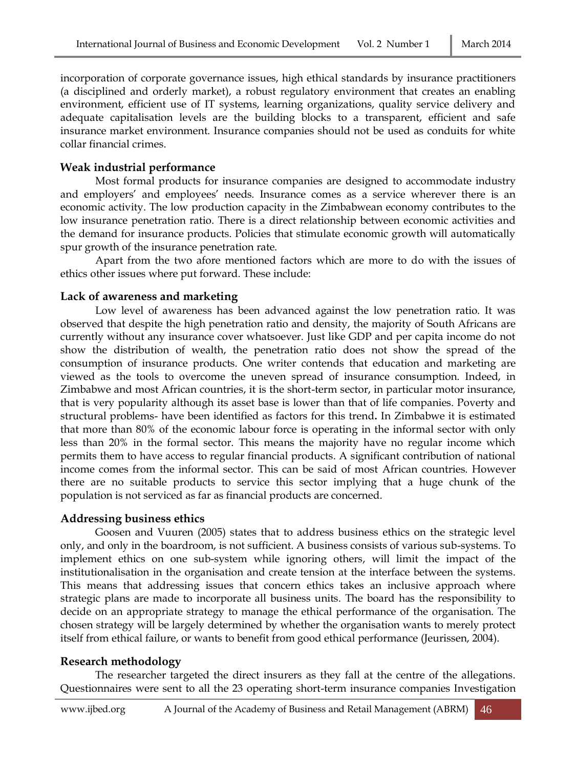incorporation of corporate governance issues, high ethical standards by insurance practitioners (a disciplined and orderly market), a robust regulatory environment that creates an enabling environment, efficient use of IT systems, learning organizations, quality service delivery and adequate capitalisation levels are the building blocks to a transparent, efficient and safe insurance market environment. Insurance companies should not be used as conduits for white collar financial crimes.

### **Weak industrial performance**

Most formal products for insurance companies are designed to accommodate industry and employers' and employees' needs. Insurance comes as a service wherever there is an economic activity. The low production capacity in the Zimbabwean economy contributes to the low insurance penetration ratio. There is a direct relationship between economic activities and the demand for insurance products. Policies that stimulate economic growth will automatically spur growth of the insurance penetration rate.

Apart from the two afore mentioned factors which are more to do with the issues of ethics other issues where put forward. These include:

### **Lack of awareness and marketing**

Low level of awareness has been advanced against the low penetration ratio. It was observed that despite the high penetration ratio and density, the majority of South Africans are currently without any insurance cover whatsoever. Just like GDP and per capita income do not show the distribution of wealth, the penetration ratio does not show the spread of the consumption of insurance products. One writer contends that education and marketing are viewed as the tools to overcome the uneven spread of insurance consumption. Indeed, in Zimbabwe and most African countries, it is the short-term sector, in particular motor insurance, that is very popularity although its asset base is lower than that of life companies. Poverty and structural problems- have been identified as factors for this trend**.** In Zimbabwe it is estimated that more than 80% of the economic labour force is operating in the informal sector with only less than 20% in the formal sector. This means the majority have no regular income which permits them to have access to regular financial products. A significant contribution of national income comes from the informal sector. This can be said of most African countries. However there are no suitable products to service this sector implying that a huge chunk of the population is not serviced as far as financial products are concerned.

### **Addressing business ethics**

Goosen and Vuuren (2005) states that to address business ethics on the strategic level only, and only in the boardroom, is not sufficient. A business consists of various sub-systems. To implement ethics on one sub-system while ignoring others, will limit the impact of the institutionalisation in the organisation and create tension at the interface between the systems. This means that addressing issues that concern ethics takes an inclusive approach where strategic plans are made to incorporate all business units. The board has the responsibility to decide on an appropriate strategy to manage the ethical performance of the organisation. The chosen strategy will be largely determined by whether the organisation wants to merely protect itself from ethical failure, or wants to benefit from good ethical performance (Jeurissen, 2004).

### **Research methodology**

The researcher targeted the direct insurers as they fall at the centre of the allegations. Questionnaires were sent to all the 23 operating short-term insurance companies Investigation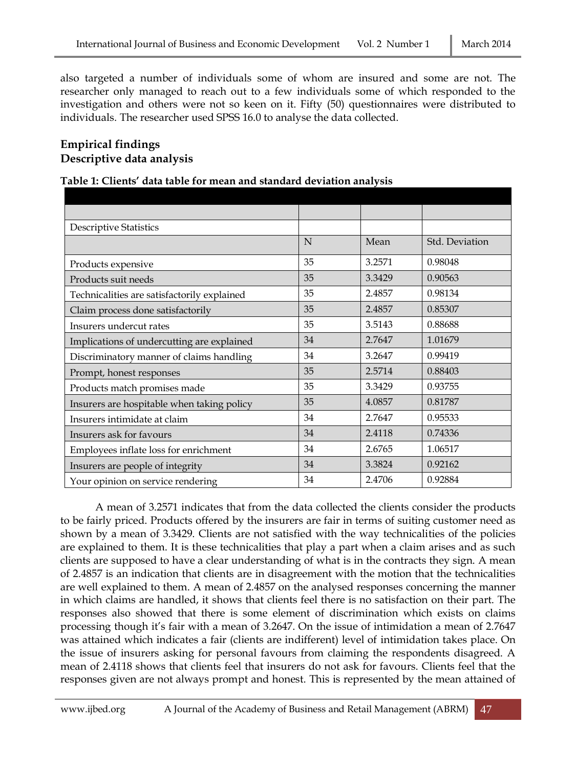also targeted a number of individuals some of whom are insured and some are not. The researcher only managed to reach out to a few individuals some of which responded to the investigation and others were not so keen on it. Fifty (50) questionnaires were distributed to individuals. The researcher used SPSS 16.0 to analyse the data collected.

## **Empirical findings Descriptive data analysis**

#### **Table 1: Clients' data table for mean and standard deviation analysis**

| <b>Descriptive Statistics</b>               |    |        |                |
|---------------------------------------------|----|--------|----------------|
|                                             | N  | Mean   | Std. Deviation |
| Products expensive                          | 35 | 3.2571 | 0.98048        |
| Products suit needs                         | 35 | 3.3429 | 0.90563        |
| Technicalities are satisfactorily explained | 35 | 2.4857 | 0.98134        |
| Claim process done satisfactorily           | 35 | 2.4857 | 0.85307        |
| Insurers undercut rates                     | 35 | 3.5143 | 0.88688        |
| Implications of undercutting are explained  | 34 | 2.7647 | 1.01679        |
| Discriminatory manner of claims handling    | 34 | 3.2647 | 0.99419        |
| Prompt, honest responses                    | 35 | 2.5714 | 0.88403        |
| Products match promises made                | 35 | 3.3429 | 0.93755        |
| Insurers are hospitable when taking policy  | 35 | 4.0857 | 0.81787        |
| Insurers intimidate at claim                | 34 | 2.7647 | 0.95533        |
| Insurers ask for favours                    | 34 | 2.4118 | 0.74336        |
| Employees inflate loss for enrichment       | 34 | 2.6765 | 1.06517        |
| Insurers are people of integrity            | 34 | 3.3824 | 0.92162        |
| Your opinion on service rendering           | 34 | 2.4706 | 0.92884        |

A mean of 3.2571 indicates that from the data collected the clients consider the products to be fairly priced. Products offered by the insurers are fair in terms of suiting customer need as shown by a mean of 3.3429. Clients are not satisfied with the way technicalities of the policies are explained to them. It is these technicalities that play a part when a claim arises and as such clients are supposed to have a clear understanding of what is in the contracts they sign. A mean of 2.4857 is an indication that clients are in disagreement with the motion that the technicalities are well explained to them. A mean of 2.4857 on the analysed responses concerning the manner in which claims are handled, it shows that clients feel there is no satisfaction on their part. The responses also showed that there is some element of discrimination which exists on claims processing though it's fair with a mean of 3.2647. On the issue of intimidation a mean of 2.7647 was attained which indicates a fair (clients are indifferent) level of intimidation takes place. On the issue of insurers asking for personal favours from claiming the respondents disagreed. A mean of 2.4118 shows that clients feel that insurers do not ask for favours. Clients feel that the responses given are not always prompt and honest. This is represented by the mean attained of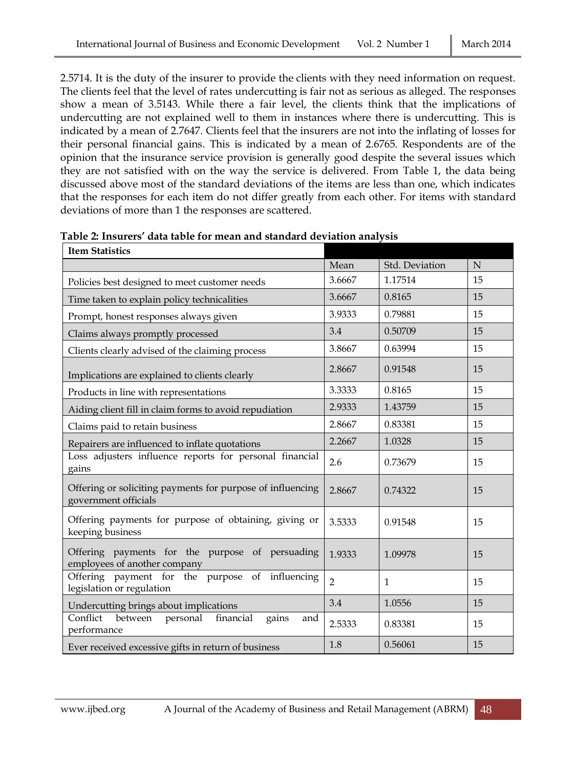2.5714. It is the duty of the insurer to provide the clients with they need information on request. The clients feel that the level of rates undercutting is fair not as serious as alleged. The responses show a mean of 3.5143. While there a fair level, the clients think that the implications of undercutting are not explained well to them in instances where there is undercutting. This is indicated by a mean of 2.7647. Clients feel that the insurers are not into the inflating of losses for their personal financial gains. This is indicated by a mean of 2.6765. Respondents are of the opinion that the insurance service provision is generally good despite the several issues which they are not satisfied with on the way the service is delivered. From Table 1, the data being discussed above most of the standard deviations of the items are less than one, which indicates that the responses for each item do not differ greatly from each other. For items with standard deviations of more than 1 the responses are scattered.

| <b>Item Statistics</b>                                                             |                |                |             |
|------------------------------------------------------------------------------------|----------------|----------------|-------------|
|                                                                                    | Mean           | Std. Deviation | $\mathbf N$ |
| Policies best designed to meet customer needs                                      | 3.6667         | 1.17514        | 15          |
| Time taken to explain policy technicalities                                        | 3.6667         | 0.8165         | 15          |
| Prompt, honest responses always given                                              | 3.9333         | 0.79881        | 15          |
| Claims always promptly processed                                                   | 3.4            | 0.50709        | 15          |
| Clients clearly advised of the claiming process                                    | 3.8667         | 0.63994        | 15          |
| Implications are explained to clients clearly                                      | 2.8667         | 0.91548        | 15          |
| Products in line with representations                                              | 3.3333         | 0.8165         | 15          |
| Aiding client fill in claim forms to avoid repudiation                             | 2.9333         | 1.43759        | 15          |
| Claims paid to retain business                                                     | 2.8667         | 0.83381        | 15          |
| Repairers are influenced to inflate quotations                                     | 2.2667         | 1.0328         | 15          |
| Loss adjusters influence reports for personal financial<br>gains                   | 2.6            | 0.73679        | 15          |
| Offering or soliciting payments for purpose of influencing<br>government officials | 2.8667         | 0.74322        | 15          |
| Offering payments for purpose of obtaining, giving or<br>keeping business          | 3.5333         | 0.91548        | 15          |
| Offering payments for the purpose of persuading<br>employees of another company    | 1.9333         | 1.09978        | 15          |
| Offering payment for the purpose of influencing<br>legislation or regulation       | $\overline{2}$ | $\mathbf{1}$   | 15          |
| Undercutting brings about implications                                             | 3.4            | 1.0556         | 15          |
| Conflict<br>between<br>personal<br>financial<br>gains<br>and<br>performance        | 2.5333         | 0.83381        | 15          |
| Ever received excessive gifts in return of business                                | 1.8            | 0.56061        | 15          |

| Table 2: Insurers' data table for mean and standard deviation analysis |
|------------------------------------------------------------------------|
|------------------------------------------------------------------------|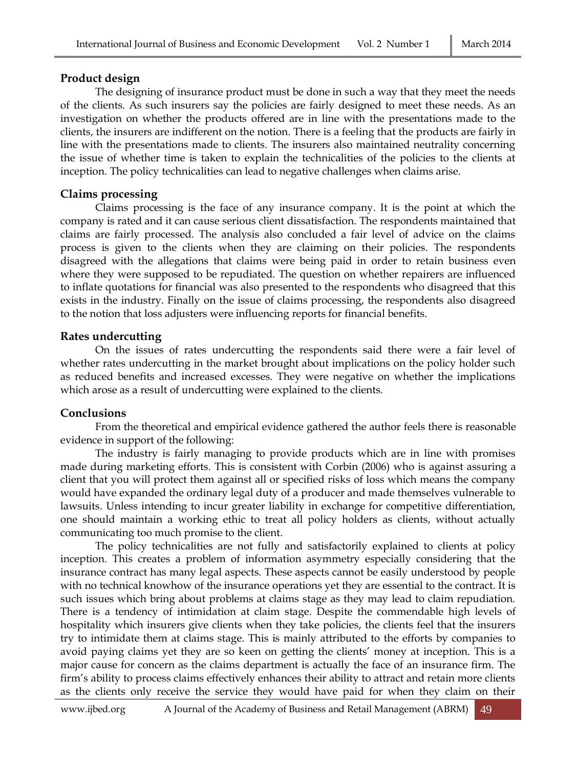### **Product design**

The designing of insurance product must be done in such a way that they meet the needs of the clients. As such insurers say the policies are fairly designed to meet these needs. As an investigation on whether the products offered are in line with the presentations made to the clients, the insurers are indifferent on the notion. There is a feeling that the products are fairly in line with the presentations made to clients. The insurers also maintained neutrality concerning the issue of whether time is taken to explain the technicalities of the policies to the clients at inception. The policy technicalities can lead to negative challenges when claims arise.

## **Claims processing**

Claims processing is the face of any insurance company. It is the point at which the company is rated and it can cause serious client dissatisfaction. The respondents maintained that claims are fairly processed. The analysis also concluded a fair level of advice on the claims process is given to the clients when they are claiming on their policies. The respondents disagreed with the allegations that claims were being paid in order to retain business even where they were supposed to be repudiated. The question on whether repairers are influenced to inflate quotations for financial was also presented to the respondents who disagreed that this exists in the industry. Finally on the issue of claims processing, the respondents also disagreed to the notion that loss adjusters were influencing reports for financial benefits.

# **Rates undercutting**

On the issues of rates undercutting the respondents said there were a fair level of whether rates undercutting in the market brought about implications on the policy holder such as reduced benefits and increased excesses. They were negative on whether the implications which arose as a result of undercutting were explained to the clients.

# **Conclusions**

From the theoretical and empirical evidence gathered the author feels there is reasonable evidence in support of the following:

The industry is fairly managing to provide products which are in line with promises made during marketing efforts. This is consistent with Corbin (2006) who is against assuring a client that you will protect them against all or specified risks of loss which means the company would have expanded the ordinary legal duty of a producer and made themselves vulnerable to lawsuits. Unless intending to incur greater liability in exchange for competitive differentiation, one should maintain a working ethic to treat all policy holders as clients, without actually communicating too much promise to the client.

The policy technicalities are not fully and satisfactorily explained to clients at policy inception. This creates a problem of information asymmetry especially considering that the insurance contract has many legal aspects. These aspects cannot be easily understood by people with no technical knowhow of the insurance operations yet they are essential to the contract. It is such issues which bring about problems at claims stage as they may lead to claim repudiation. There is a tendency of intimidation at claim stage. Despite the commendable high levels of hospitality which insurers give clients when they take policies, the clients feel that the insurers try to intimidate them at claims stage. This is mainly attributed to the efforts by companies to avoid paying claims yet they are so keen on getting the clients' money at inception. This is a major cause for concern as the claims department is actually the face of an insurance firm. The firm's ability to process claims effectively enhances their ability to attract and retain more clients as the clients only receive the service they would have paid for when they claim on their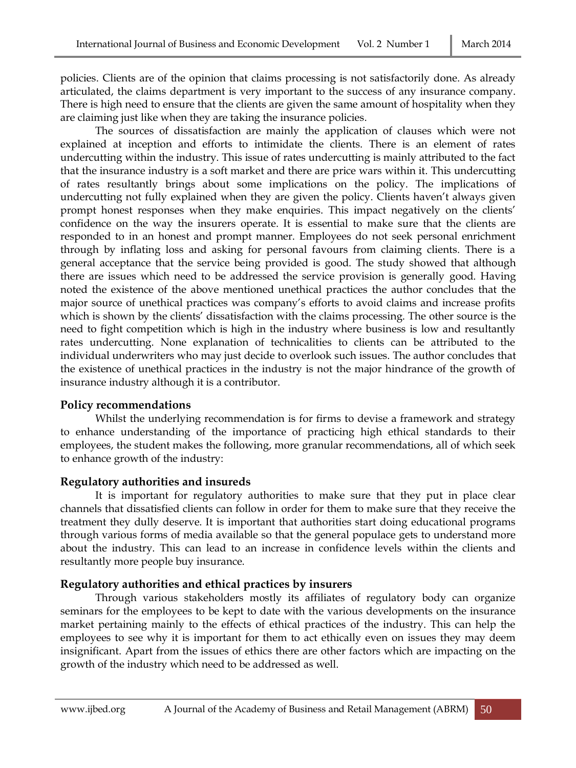policies. Clients are of the opinion that claims processing is not satisfactorily done. As already articulated, the claims department is very important to the success of any insurance company. There is high need to ensure that the clients are given the same amount of hospitality when they are claiming just like when they are taking the insurance policies.

The sources of dissatisfaction are mainly the application of clauses which were not explained at inception and efforts to intimidate the clients. There is an element of rates undercutting within the industry. This issue of rates undercutting is mainly attributed to the fact that the insurance industry is a soft market and there are price wars within it. This undercutting of rates resultantly brings about some implications on the policy. The implications of undercutting not fully explained when they are given the policy. Clients haven't always given prompt honest responses when they make enquiries. This impact negatively on the clients' confidence on the way the insurers operate. It is essential to make sure that the clients are responded to in an honest and prompt manner. Employees do not seek personal enrichment through by inflating loss and asking for personal favours from claiming clients. There is a general acceptance that the service being provided is good. The study showed that although there are issues which need to be addressed the service provision is generally good. Having noted the existence of the above mentioned unethical practices the author concludes that the major source of unethical practices was company's efforts to avoid claims and increase profits which is shown by the clients' dissatisfaction with the claims processing. The other source is the need to fight competition which is high in the industry where business is low and resultantly rates undercutting. None explanation of technicalities to clients can be attributed to the individual underwriters who may just decide to overlook such issues. The author concludes that the existence of unethical practices in the industry is not the major hindrance of the growth of insurance industry although it is a contributor.

### **Policy recommendations**

Whilst the underlying recommendation is for firms to devise a framework and strategy to enhance understanding of the importance of practicing high ethical standards to their employees, the student makes the following, more granular recommendations, all of which seek to enhance growth of the industry:

#### **Regulatory authorities and insureds**

It is important for regulatory authorities to make sure that they put in place clear channels that dissatisfied clients can follow in order for them to make sure that they receive the treatment they dully deserve. It is important that authorities start doing educational programs through various forms of media available so that the general populace gets to understand more about the industry. This can lead to an increase in confidence levels within the clients and resultantly more people buy insurance.

### **Regulatory authorities and ethical practices by insurers**

Through various stakeholders mostly its affiliates of regulatory body can organize seminars for the employees to be kept to date with the various developments on the insurance market pertaining mainly to the effects of ethical practices of the industry. This can help the employees to see why it is important for them to act ethically even on issues they may deem insignificant. Apart from the issues of ethics there are other factors which are impacting on the growth of the industry which need to be addressed as well.